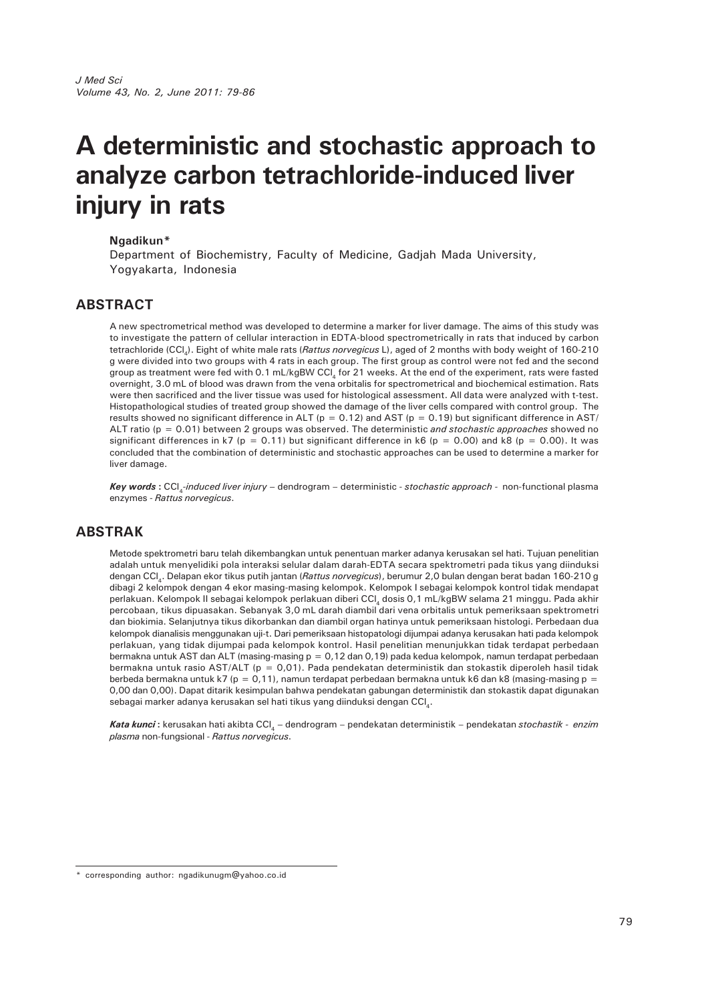# **A deterministic and stochastic approach to analyze carbon tetrachloride-induced liver injury in rats**

#### **Ngadikun\***

Department of Biochemistry, Faculty of Medicine, Gadjah Mada University, Yogyakarta, Indonesia

#### **ABSTRACT**

A new spectrometrical method was developed to determine a marker for liver damage. The aims of this study was to investigate the pattern of cellular interaction in EDTA-blood spectrometrically in rats that induced by carbon tetrachloride (CCl4). Eight of white male rats (*Rattus norvegicus* L), aged of 2 months with body weight of 160-210 g were divided into two groups with 4 rats in each group. The first group as control were not fed and the second group as treatment were fed with 0.1 mL/kgBW CCI, for 21 weeks. At the end of the experiment, rats were fasted overnight, 3.0 mL of blood was drawn from the vena orbitalis for spectrometrical and biochemical estimation. Rats were then sacrificed and the liver tissue was used for histological assessment. All data were analyzed with t-test. Histopathological studies of treated group showed the damage of the liver cells compared with control group. The results showed no significant difference in ALT ( $p = 0.12$ ) and AST ( $p = 0.19$ ) but significant difference in AST/ ALT ratio (p = 0.01) between 2 groups was observed. The deterministic *and stochastic approaches* showed no significant differences in k7 (p = 0.11) but significant difference in k6 (p = 0.00) and k8 (p = 0.00). It was concluded that the combination of deterministic and stochastic approaches can be used to determine a marker for liver damage.

*Key words* **:** CCl4*-induced liver injury –* dendrogram – deterministic - *stochastic approach -* non-functional plasma enzymes - *Rattus norvegicus*.

## **ABSTRAK**

Metode spektrometri baru telah dikembangkan untuk penentuan marker adanya kerusakan sel hati. Tujuan penelitian adalah untuk menyelidiki pola interaksi selular dalam darah-EDTA secara spektrometri pada tikus yang diinduksi dengan CCl4. Delapan ekor tikus putih jantan (*Rattus norvegicus*), berumur 2,0 bulan dengan berat badan 160-210 g dibagi 2 kelompok dengan 4 ekor masing-masing kelompok. Kelompok I sebagai kelompok kontrol tidak mendapat perlakuan. Kelompok II sebagai kelompok perlakuan diberi CCl<sub>4</sub> dosis 0,1 mL/kgBW selama 21 minggu. Pada akhir percobaan, tikus dipuasakan. Sebanyak 3,0 mL darah diambil dari vena orbitalis untuk pemeriksaan spektrometri dan biokimia. Selanjutnya tikus dikorbankan dan diambil organ hatinya untuk pemeriksaan histologi. Perbedaan dua kelompok dianalisis menggunakan uji-t. Dari pemeriksaan histopatologi dijumpai adanya kerusakan hati pada kelompok perlakuan, yang tidak dijumpai pada kelompok kontrol. Hasil penelitian menunjukkan tidak terdapat perbedaan bermakna untuk AST dan ALT (masing-masing p = 0,12 dan 0,19) pada kedua kelompok, namun terdapat perbedaan bermakna untuk rasio AST/ALT ( $p = 0.01$ ). Pada pendekatan deterministik dan stokastik diperoleh hasil tidak berbeda bermakna untuk k7 (p = 0,11), namun terdapat perbedaan bermakna untuk k6 dan k8 (masing-masing p = 0,00 dan 0,00). Dapat ditarik kesimpulan bahwa pendekatan gabungan deterministik dan stokastik dapat digunakan sebagai marker adanya kerusakan sel hati tikus yang diinduksi dengan CCL.

*Kata kunci* **:** kerusakan hati akibta CCl4 *–* dendrogram – pendekatan deterministik – pendekatan *stochastik - enzim plasma* non-fungsional - *Rattus norvegicus*.

corresponding author: ngadikunugm@yahoo.co.id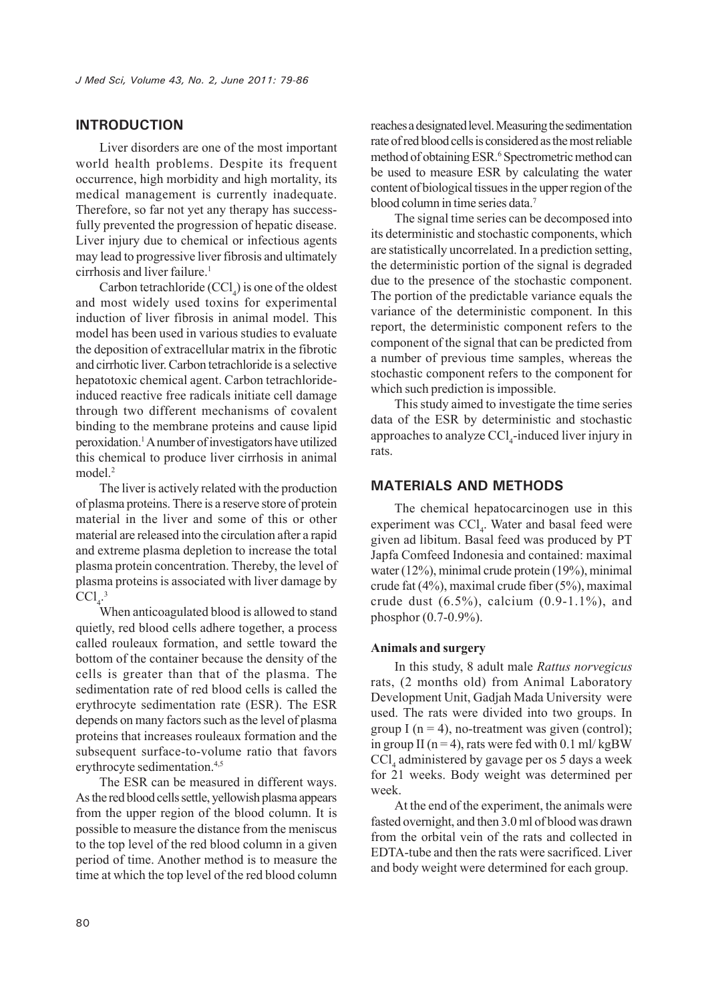## **INTRODUCTION**

Liver disorders are one of the most important world health problems. Despite its frequent occurrence, high morbidity and high mortality, its medical management is currently inadequate. Therefore, so far not yet any therapy has successfully prevented the progression of hepatic disease. Liver injury due to chemical or infectious agents may lead to progressive liver fibrosis and ultimately cirrhosis and liver failure.<sup>1</sup>

Carbon tetrachloride  $(CCl<sub>4</sub>)$  is one of the oldest and most widely used toxins for experimental induction of liver fibrosis in animal model. This model has been used in various studies to evaluate the deposition of extracellular matrix in the fibrotic and cirrhotic liver. Carbon tetrachloride is a selective hepatotoxic chemical agent. Carbon tetrachlorideinduced reactive free radicals initiate cell damage through two different mechanisms of covalent binding to the membrane proteins and cause lipid peroxidation.1 A number of investigators have utilized this chemical to produce liver cirrhosis in animal model.<sup>2</sup>

The liver is actively related with the production of plasma proteins. There is a reserve store of protein material in the liver and some of this or other material are released into the circulation after a rapid and extreme plasma depletion to increase the total plasma protein concentration. Thereby, the level of plasma proteins is associated with liver damage by  $\text{CCl}_4^3$ 

When anticoagulated blood is allowed to stand quietly, red blood cells adhere together, a process called rouleaux formation, and settle toward the bottom of the container because the density of the cells is greater than that of the plasma. The sedimentation rate of red blood cells is called the erythrocyte sedimentation rate (ESR). The ESR depends on many factors such as the level of plasma proteins that increases rouleaux formation and the subsequent surface-to-volume ratio that favors erythrocyte sedimentation.<sup>4,5</sup>

The ESR can be measured in different ways. As the red blood cells settle, yellowish plasma appears from the upper region of the blood column. It is possible to measure the distance from the meniscus to the top level of the red blood column in a given period of time. Another method is to measure the time at which the top level of the red blood column reaches a designated level. Measuring the sedimentation rate of red blood cells is considered as the most reliable method of obtaining ESR.<sup>6</sup> Spectrometric method can be used to measure ESR by calculating the water content of biological tissues in the upper region of the blood column in time series data.7

The signal time series can be decomposed into its deterministic and stochastic components, which are statistically uncorrelated. In a prediction setting, the deterministic portion of the signal is degraded due to the presence of the stochastic component. The portion of the predictable variance equals the variance of the deterministic component. In this report, the deterministic component refers to the component of the signal that can be predicted from a number of previous time samples, whereas the stochastic component refers to the component for which such prediction is impossible.

This study aimed to investigate the time series data of the ESR by deterministic and stochastic approaches to analyze CCl<sub>4</sub>-induced liver injury in rats.

#### **MATERIALS AND METHODS**

The chemical hepatocarcinogen use in this experiment was CCl<sub>4</sub>. Water and basal feed were given ad libitum. Basal feed was produced by PT Japfa Comfeed Indonesia and contained: maximal water (12%), minimal crude protein (19%), minimal crude fat (4%), maximal crude fiber (5%), maximal crude dust  $(6.5\%)$ , calcium  $(0.9-1.1\%)$ , and phosphor (0.7-0.9%).

#### **Animals and surgery**

In this study, 8 adult male *Rattus norvegicus* rats, (2 months old) from Animal Laboratory Development Unit, Gadjah Mada University were used. The rats were divided into two groups. In group I ( $n = 4$ ), no-treatment was given (control); in group II ( $n = 4$ ), rats were fed with 0.1 ml/kgBW CCl4 administered by gavage per os 5 days a week for 21 weeks. Body weight was determined per week.

At the end of the experiment, the animals were fasted overnight, and then 3.0 ml of blood was drawn from the orbital vein of the rats and collected in EDTA-tube and then the rats were sacrificed. Liver and body weight were determined for each group.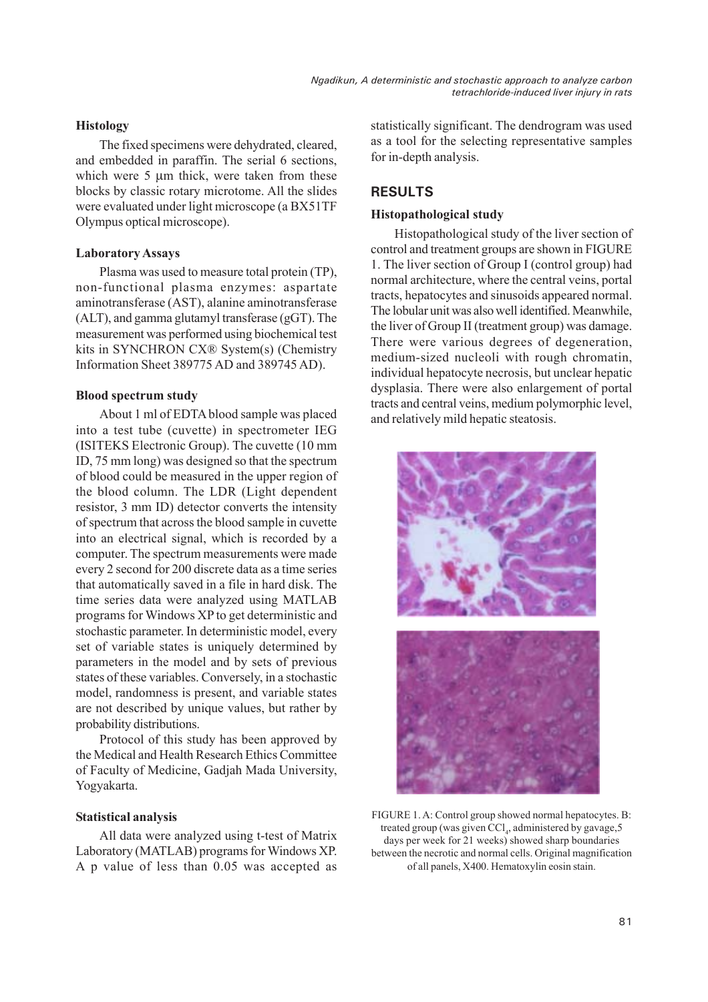*Ngadikun, A deterministic and stochastic approach to analyze carbon tetrachloride-induced liver injury in rats*

#### **Histology**

The fixed specimens were dehydrated, cleared, and embedded in paraffin. The serial 6 sections, which were 5  $\mu$ m thick, were taken from these blocks by classic rotary microtome. All the slides were evaluated under light microscope (a BX51TF Olympus optical microscope).

#### **Laboratory Assays**

Plasma was used to measure total protein (TP), non-functional plasma enzymes: aspartate aminotransferase (AST), alanine aminotransferase (ALT), and gamma glutamyl transferase (gGT). The measurement was performed using biochemical test kits in SYNCHRON CX® System(s) (Chemistry Information Sheet 389775 AD and 389745 AD).

#### **Blood spectrum study**

About 1 ml of EDTA blood sample was placed into a test tube (cuvette) in spectrometer IEG (ISITEKS Electronic Group). The cuvette (10 mm ID, 75 mm long) was designed so that the spectrum of blood could be measured in the upper region of the blood column. The LDR (Light dependent resistor, 3 mm ID) detector converts the intensity of spectrum that across the blood sample in cuvette into an electrical signal, which is recorded by a computer. The spectrum measurements were made every 2 second for 200 discrete data as a time series that automatically saved in a file in hard disk. The time series data were analyzed using MATLAB programs for Windows XP to get deterministic and stochastic parameter. In deterministic model, every set of variable states is uniquely determined by parameters in the model and by sets of previous states of these variables. Conversely, in a stochastic model, randomness is present, and variable states are not described by unique values, but rather by probability distributions.

Protocol of this study has been approved by the Medical and Health Research Ethics Committee of Faculty of Medicine, Gadjah Mada University, Yogyakarta.

## **Statistical analysis**

All data were analyzed using t-test of Matrix Laboratory (MATLAB) programs for Windows XP. A p value of less than 0.05 was accepted as

statistically significant. The dendrogram was used as a tool for the selecting representative samples for in-depth analysis.

## **RESULTS**

## **Histopathological study**

Histopathological study of the liver section of control and treatment groups are shown in FIGURE 1. The liver section of Group I (control group) had normal architecture, where the central veins, portal tracts, hepatocytes and sinusoids appeared normal. The lobular unit was also well identified. Meanwhile, the liver of Group II (treatment group) was damage. There were various degrees of degeneration, medium-sized nucleoli with rough chromatin, individual hepatocyte necrosis, but unclear hepatic dysplasia. There were also enlargement of portal tracts and central veins, medium polymorphic level, and relatively mild hepatic steatosis.



FIGURE 1. A: Control group showed normal hepatocytes. B: treated group (was given CCl<sub>4</sub>, administered by gavage,5 days per week for 21 weeks) showed sharp boundaries between the necrotic and normal cells. Original magnification of all panels, X400. Hematoxylin eosin stain.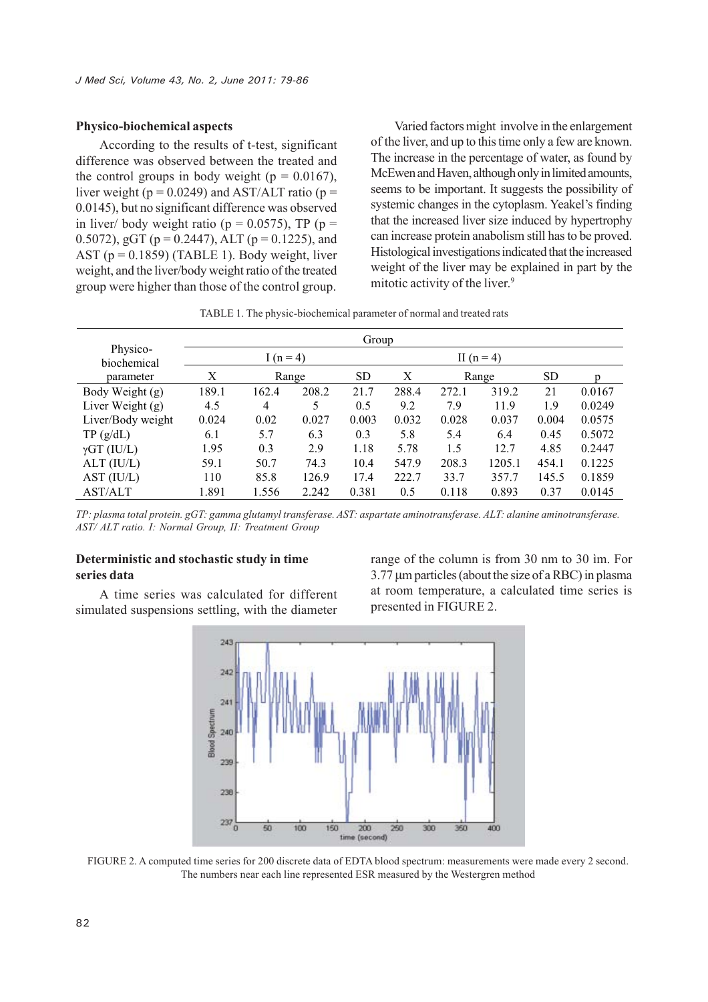#### **Physico-biochemical aspects**

According to the results of t-test, significant difference was observed between the treated and the control groups in body weight ( $p = 0.0167$ ), liver weight ( $p = 0.0249$ ) and AST/ALT ratio ( $p =$ 0.0145), but no significant difference was observed in liver/ body weight ratio ( $p = 0.0575$ ), TP ( $p =$ 0.5072), gGT ( $p = 0.2447$ ), ALT ( $p = 0.1225$ ), and AST  $(p = 0.1859)$  (TABLE 1). Body weight, liver weight, and the liver/body weight ratio of the treated group were higher than those of the control group.

Varied factors might involve in the enlargement of the liver, and up to this time only a few are known. The increase in the percentage of water, as found by McEwen and Haven, although only in limited amounts, seems to be important. It suggests the possibility of systemic changes in the cytoplasm. Yeakel's finding that the increased liver size induced by hypertrophy can increase protein anabolism still has to be proved. Histological investigations indicated that the increased weight of the liver may be explained in part by the mitotic activity of the liver.<sup>9</sup>

TABLE 1. The physic-biochemical parameter of normal and treated rats

|                         | Group      |       |       |           |       |       |        |           |        |
|-------------------------|------------|-------|-------|-----------|-------|-------|--------|-----------|--------|
| Physico-<br>biochemical | $I(n = 4)$ |       |       |           |       |       |        |           |        |
| parameter               | Χ          | Range |       | <b>SD</b> | Χ     | Range |        | <b>SD</b> |        |
| Body Weight (g)         | 189.1      | 162.4 | 208.2 | 21.7      | 288.4 | 272.1 | 319.2  | 21        | 0.0167 |
| Liver Weight $(g)$      | 4.5        | 4     | 5     | 0.5       | 9.2   | 7.9   | 11.9   | 1.9       | 0.0249 |
| Liver/Body weight       | 0.024      | 0.02  | 0.027 | 0.003     | 0.032 | 0.028 | 0.037  | 0.004     | 0.0575 |
| TP(g/dL)                | 6.1        | 5.7   | 6.3   | 0.3       | 5.8   | 5.4   | 6.4    | 0.45      | 0.5072 |
| $\gamma GT$ (IU/L)      | 1.95       | 0.3   | 2.9   | 1.18      | 5.78  | 1.5   | 12.7   | 4.85      | 0.2447 |
| $ALT$ (IU/L)            | 59.1       | 50.7  | 74.3  | 10.4      | 547.9 | 208.3 | 1205.1 | 454.1     | 0.1225 |
| AST (IU/L)              | 110        | 85.8  | 126.9 | 17.4      | 222.7 | 33.7  | 357.7  | 145.5     | 0.1859 |
| <b>AST/ALT</b>          | 1.891      | 1.556 | 2.242 | 0.381     | 0.5   | 0.118 | 0.893  | 0.37      | 0.0145 |

*TP: plasma total protein. gGT: gamma glutamyl transferase. AST: aspartate aminotransferase. ALT: alanine aminotransferase. AST/ ALT ratio. I: Normal Group, II: Treatment Group*

#### **Deterministic and stochastic study in time series data**

A time series was calculated for different simulated suspensions settling, with the diameter range of the column is from 30 nm to 30 ìm. For 3.77 µm particles (about the size of a RBC) in plasma at room temperature, a calculated time series is presented in FIGURE 2.



FIGURE 2. A computed time series for 200 discrete data of EDTA blood spectrum: measurements were made every 2 second. The numbers near each line represented ESR measured by the Westergren method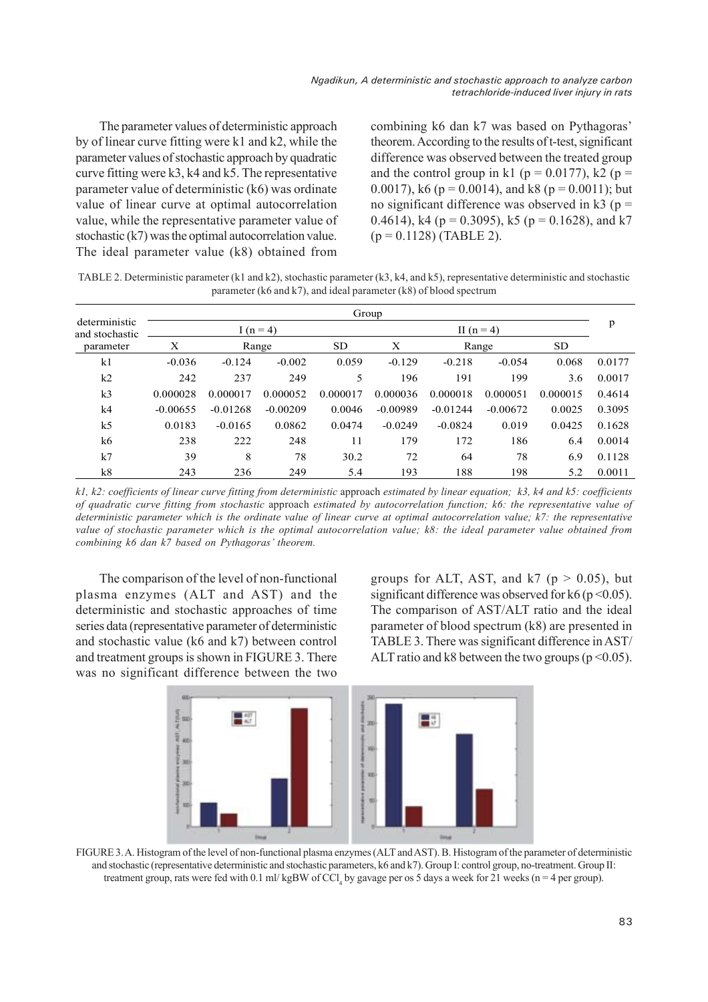The parameter values of deterministic approach by of linear curve fitting were k1 and k2, while the parameter values of stochastic approach by quadratic curve fitting were k3, k4 and k5. The representative parameter value of deterministic (k6) was ordinate value of linear curve at optimal autocorrelation value, while the representative parameter value of stochastic (k7) was the optimal autocorrelation value. The ideal parameter value (k8) obtained from

combining k6 dan k7 was based on Pythagoras' theorem. According to the results of t-test, significant difference was observed between the treated group and the control group in k1 ( $p = 0.0177$ ), k2 ( $p =$ 0.0017), k6 ( $p = 0.0014$ ), and k8 ( $p = 0.0011$ ); but no significant difference was observed in  $k3$  ( $p =$ 0.4614), k4 ( $p = 0.3095$ ), k5 ( $p = 0.1628$ ), and k7  $(p = 0.1128)$  (TABLE 2).

TABLE 2. Deterministic parameter (k1 and k2), stochastic parameter (k3, k4, and k5), representative deterministic and stochastic parameter (k6 and k7), and ideal parameter (k8) of blood spectrum

|                                 | Group       |            |            |           |            |            |            |           |        |
|---------------------------------|-------------|------------|------------|-----------|------------|------------|------------|-----------|--------|
| deterministic<br>and stochastic | I $(n = 4)$ |            |            |           |            | p          |            |           |        |
| parameter                       | Х           | Range      |            | <b>SD</b> | X          | Range      |            | <b>SD</b> |        |
| k <sub>1</sub>                  | $-0.036$    | $-0.124$   | $-0.002$   | 0.059     | $-0.129$   | $-0.218$   | $-0.054$   | 0.068     | 0.0177 |
| k2                              | 242         | 237        | 249        | 5         | 196        | 191        | 199        | 3.6       | 0.0017 |
| k <sub>3</sub>                  | 0.000028    | 0.000017   | 0.000052   | 0.000017  | 0.000036   | 0.000018   | 0.000051   | 0.000015  | 0.4614 |
| k4                              | $-0.00655$  | $-0.01268$ | $-0.00209$ | 0.0046    | $-0.00989$ | $-0.01244$ | $-0.00672$ | 0.0025    | 0.3095 |
| k <sub>5</sub>                  | 0.0183      | $-0.0165$  | 0.0862     | 0.0474    | $-0.0249$  | $-0.0824$  | 0.019      | 0.0425    | 0.1628 |
| k6                              | 238         | 222        | 248        | 11        | 179        | 172        | 186        | 6.4       | 0.0014 |
| k7                              | 39          | 8          | 78         | 30.2      | 72         | 64         | 78         | 6.9       | 0.1128 |
| k8                              | 243         | 236        | 249        | 5.4       | 193        | 188        | 198        | 5.2       | 0.0011 |

*k1, k2: coefficients of linear curve fitting from deterministic* approach *estimated by linear equation; k3, k4 and k5: coefficients of quadratic curve fitting from stochastic* approach *estimated by autocorrelation function; k6: the representative value of deterministic parameter which is the ordinate value of linear curve at optimal autocorrelation value; k7: the representative value of stochastic parameter which is the optimal autocorrelation value; k8: the ideal parameter value obtained from combining k6 dan k7 based on Pythagoras' theorem.*

The comparison of the level of non-functional plasma enzymes (ALT and AST) and the deterministic and stochastic approaches of time series data (representative parameter of deterministic and stochastic value (k6 and k7) between control and treatment groups is shown in FIGURE 3. There was no significant difference between the two groups for ALT, AST, and  $k7$  ( $p > 0.05$ ), but significant difference was observed for k6 ( $p \le 0.05$ ). The comparison of AST/ALT ratio and the ideal parameter of blood spectrum (k8) are presented in TABLE 3. There was significant difference in AST/ ALT ratio and k8 between the two groups ( $p \le 0.05$ ).



FIGURE 3. A. Histogram of the level of non-functional plasma enzymes (ALT and AST). B. Histogram of the parameter of deterministic and stochastic (representative deterministic and stochastic parameters, k6 and k7). Group I: control group, no-treatment. Group II: treatment group, rats were fed with  $0.1$  ml/kgBW of CCl<sub>4</sub> by gavage per os 5 days a week for 21 weeks (n = 4 per group).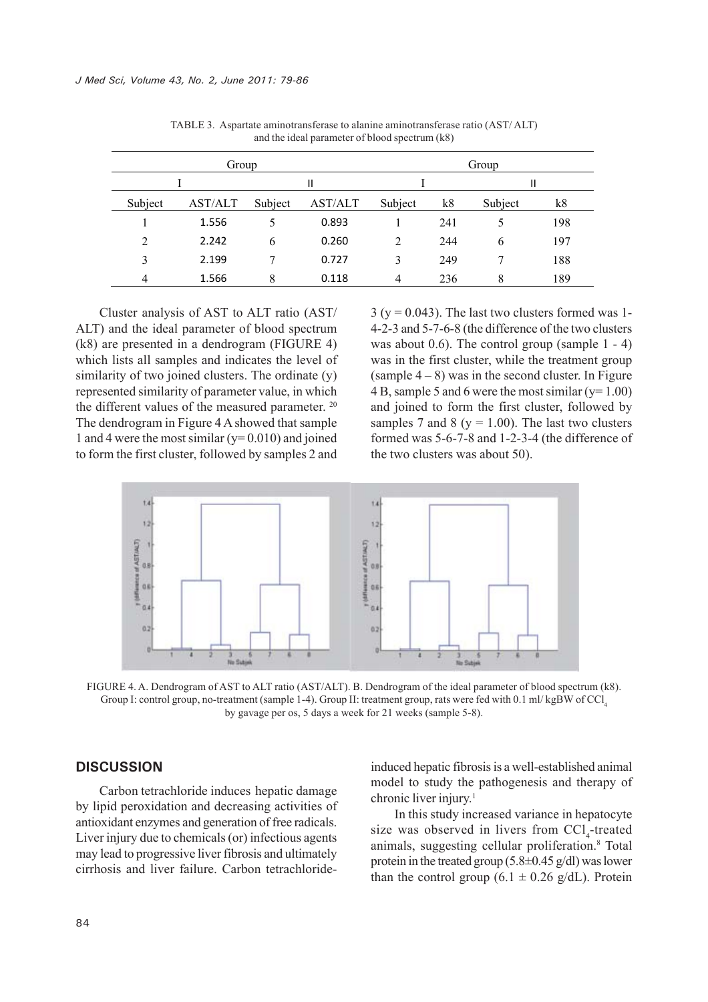| Group          |         |         |         | Group          |     |         |     |  |
|----------------|---------|---------|---------|----------------|-----|---------|-----|--|
|                |         |         |         |                |     |         |     |  |
| Subject        | AST/ALT | Subject | AST/ALT | Subject        | k8  | Subject | k8  |  |
|                | 1.556   |         | 0.893   |                | 241 |         | 198 |  |
| $\overline{2}$ | 2.242   | 6       | 0.260   | $\overline{2}$ | 244 | 6       | 197 |  |
| 3              | 2.199   |         | 0.727   | 3              | 249 |         | 188 |  |
| 4              | 1.566   | 8       | 0.118   | 4              | 236 | 8       | 189 |  |

TABLE 3. Aspartate aminotransferase to alanine aminotransferase ratio (AST/ ALT) and the ideal parameter of blood spectrum (k8)

Cluster analysis of AST to ALT ratio (AST/ ALT) and the ideal parameter of blood spectrum (k8) are presented in a dendrogram (FIGURE 4) which lists all samples and indicates the level of similarity of two joined clusters. The ordinate (y) represented similarity of parameter value, in which the different values of the measured parameter. <sup>20</sup> The dendrogram in Figure 4 A showed that sample 1 and 4 were the most similar  $(y=0.010)$  and joined to form the first cluster, followed by samples 2 and

 $3 (y = 0.043)$ . The last two clusters formed was 1-4-2-3 and 5-7-6-8 (the difference of the two clusters was about 0.6). The control group (sample 1 - 4) was in the first cluster, while the treatment group (sample  $4 - 8$ ) was in the second cluster. In Figure 4 B, sample 5 and 6 were the most similar  $(y=1.00)$ and joined to form the first cluster, followed by samples 7 and 8 ( $y = 1.00$ ). The last two clusters formed was 5-6-7-8 and 1-2-3-4 (the difference of the two clusters was about 50).



FIGURE 4. A. Dendrogram of AST to ALT ratio (AST/ALT). B. Dendrogram of the ideal parameter of blood spectrum (k8). Group I: control group, no-treatment (sample 1-4). Group II: treatment group, rats were fed with 0.1 ml/ kgBW of CCl, by gavage per os, 5 days a week for 21 weeks (sample 5-8).

#### **DISCUSSION**

Carbon tetrachloride induces hepatic damage by lipid peroxidation and decreasing activities of antioxidant enzymes and generation of free radicals. Liver injury due to chemicals (or) infectious agents may lead to progressive liver fibrosis and ultimately cirrhosis and liver failure. Carbon tetrachlorideinduced hepatic fibrosis is a well-established animal model to study the pathogenesis and therapy of chronic liver injury.<sup>1</sup>

In this study increased variance in hepatocyte size was observed in livers from CCl<sub>4</sub>-treated animals, suggesting cellular proliferation.8 Total protein in the treated group  $(5.8\pm 0.45 \text{ g/dl})$  was lower than the control group (6.1  $\pm$  0.26 g/dL). Protein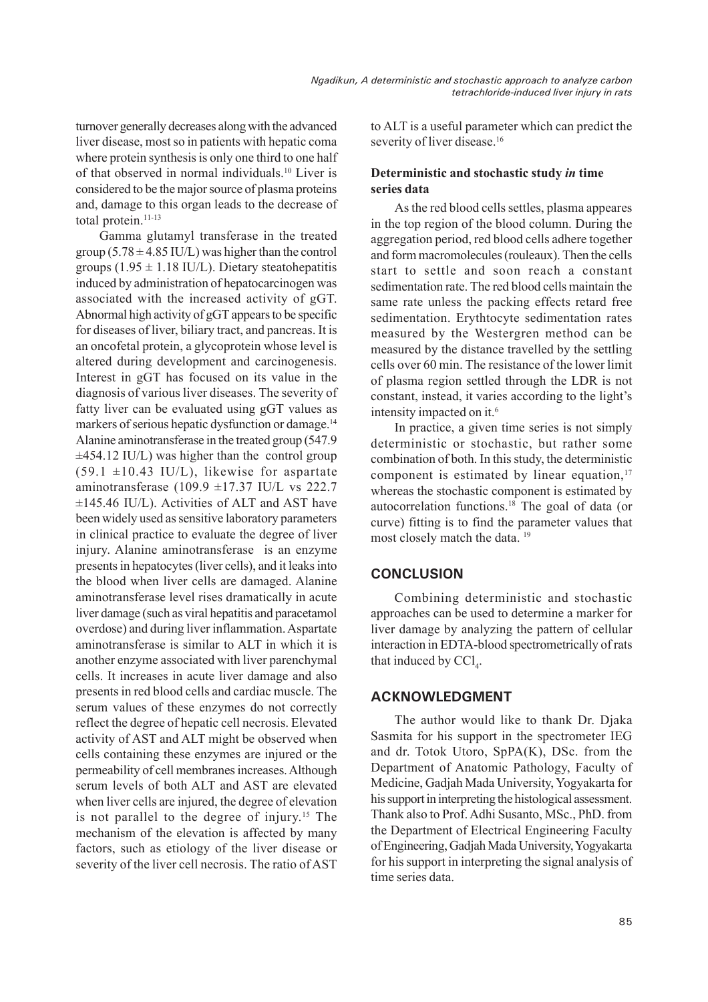turnover generally decreases along with the advanced liver disease, most so in patients with hepatic coma where protein synthesis is only one third to one half of that observed in normal individuals.10 Liver is considered to be the major source of plasma proteins and, damage to this organ leads to the decrease of total protein.<sup>11-13</sup>

Gamma glutamyl transferase in the treated group ( $5.78 \pm 4.85$  IU/L) was higher than the control groups (1.95  $\pm$  1.18 IU/L). Dietary steatohepatitis induced by administration of hepatocarcinogen was associated with the increased activity of gGT. Abnormal high activity of gGT appears to be specific for diseases of liver, biliary tract, and pancreas. It is an oncofetal protein, a glycoprotein whose level is altered during development and carcinogenesis. Interest in gGT has focused on its value in the diagnosis of various liver diseases. The severity of fatty liver can be evaluated using gGT values as markers of serious hepatic dysfunction or damage.<sup>14</sup> Alanine aminotransferase in the treated group (547.9  $\pm$ 454.12 IU/L) was higher than the control group  $(59.1 \pm 10.43 \text{ IU/L})$ , likewise for aspartate aminotransferase (109.9  $\pm$ 17.37 IU/L vs 222.7 ±145.46 IU/L). Activities of ALT and AST have been widely used as sensitive laboratory parameters in clinical practice to evaluate the degree of liver injury. Alanine aminotransferase is an enzyme presents in hepatocytes (liver cells), and it leaks into the blood when liver cells are damaged. Alanine aminotransferase level rises dramatically in acute liver damage (such as viral hepatitis and paracetamol overdose) and during liver inflammation. Aspartate aminotransferase is similar to ALT in which it is another enzyme associated with liver parenchymal cells. It increases in acute liver damage and also presents in red blood cells and cardiac muscle. The serum values of these enzymes do not correctly reflect the degree of hepatic cell necrosis. Elevated activity of AST and ALT might be observed when cells containing these enzymes are injured or the permeability of cell membranes increases. Although serum levels of both ALT and AST are elevated when liver cells are injured, the degree of elevation is not parallel to the degree of injury.15 The mechanism of the elevation is affected by many factors, such as etiology of the liver disease or severity of the liver cell necrosis. The ratio of AST

to ALT is a useful parameter which can predict the severity of liver disease.<sup>16</sup>

## **Deterministic and stochastic study** *in* **time series data**

As the red blood cells settles, plasma appeares in the top region of the blood column. During the aggregation period, red blood cells adhere together and form macromolecules (rouleaux). Then the cells start to settle and soon reach a constant sedimentation rate. The red blood cells maintain the same rate unless the packing effects retard free sedimentation. Erythtocyte sedimentation rates measured by the Westergren method can be measured by the distance travelled by the settling cells over 60 min. The resistance of the lower limit of plasma region settled through the LDR is not constant, instead, it varies according to the light's intensity impacted on it.<sup>6</sup>

In practice, a given time series is not simply deterministic or stochastic, but rather some combination of both. In this study, the deterministic component is estimated by linear equation, $17$ whereas the stochastic component is estimated by autocorrelation functions.18 The goal of data (or curve) fitting is to find the parameter values that most closely match the data.<sup>19</sup>

# **CONCLUSION**

Combining deterministic and stochastic approaches can be used to determine a marker for liver damage by analyzing the pattern of cellular interaction in EDTA-blood spectrometrically of rats that induced by  $\text{CCl}_4$ .

# **ACKNOWLEDGMENT**

The author would like to thank Dr. Djaka Sasmita for his support in the spectrometer IEG and dr. Totok Utoro, SpPA(K), DSc. from the Department of Anatomic Pathology, Faculty of Medicine, Gadjah Mada University, Yogyakarta for his support in interpreting the histological assessment. Thank also to Prof. Adhi Susanto, MSc., PhD. from the Department of Electrical Engineering Faculty of Engineering, Gadjah Mada University, Yogyakarta for his support in interpreting the signal analysis of time series data.